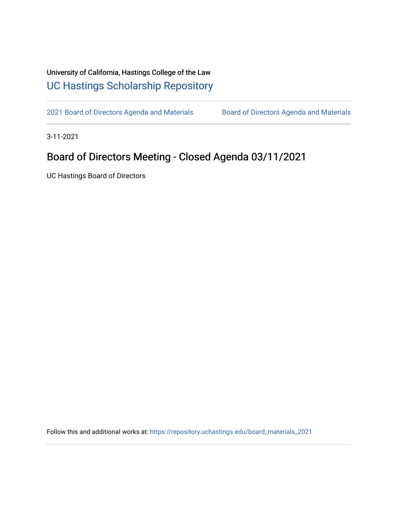## University of California, Hastings College of the Law [UC Hastings Scholarship Repository](https://repository.uchastings.edu/)

[2021 Board of Directors Agenda and Materials](https://repository.uchastings.edu/board_materials_2021) Board of Directors Agenda and Materials

3-11-2021

## Board of Directors Meeting - Closed Agenda 03/11/2021

UC Hastings Board of Directors

Follow this and additional works at: [https://repository.uchastings.edu/board\\_materials\\_2021](https://repository.uchastings.edu/board_materials_2021?utm_source=repository.uchastings.edu%2Fboard_materials_2021%2F22&utm_medium=PDF&utm_campaign=PDFCoverPages)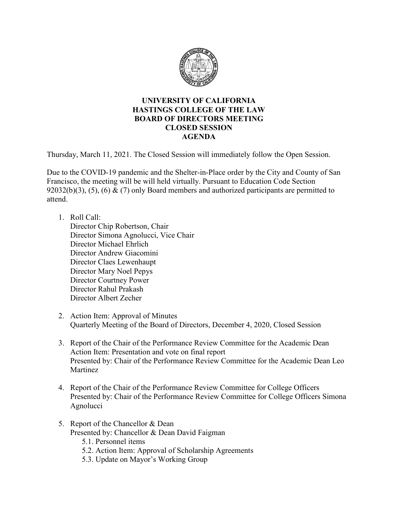

## **UNIVERSITY OF CALIFORNIA HASTINGS COLLEGE OF THE LAW BOARD OF DIRECTORS MEETING CLOSED SESSION AGENDA**

Thursday, March 11, 2021. The Closed Session will immediately follow the Open Session.

Due to the COVID-19 pandemic and the Shelter-in-Place order by the City and County of San Francisco, the meeting will be will held virtually. Pursuant to Education Code Section 92032(b)(3), (5), (6) & (7) only Board members and authorized participants are permitted to attend.

1. Roll Call:

Director Chip Robertson, Chair Director Simona Agnolucci, Vice Chair Director Michael Ehrlich Director Andrew Giacomini Director Claes Lewenhaupt Director Mary Noel Pepys Director Courtney Power Director Rahul Prakash Director Albert Zecher

- 2. Action Item: Approval of Minutes Quarterly Meeting of the Board of Directors, December 4, 2020, Closed Session
- 3. Report of the Chair of the Performance Review Committee for the Academic Dean Action Item: Presentation and vote on final report Presented by: Chair of the Performance Review Committee for the Academic Dean Leo Martinez
- 4. Report of the Chair of the Performance Review Committee for College Officers Presented by: Chair of the Performance Review Committee for College Officers Simona Agnolucci
- 5. Report of the Chancellor & Dean Presented by: Chancellor & Dean David Faigman
	- 5.1. Personnel items
	- 5.2. Action Item: Approval of Scholarship Agreements
	- 5.3. Update on Mayor's Working Group